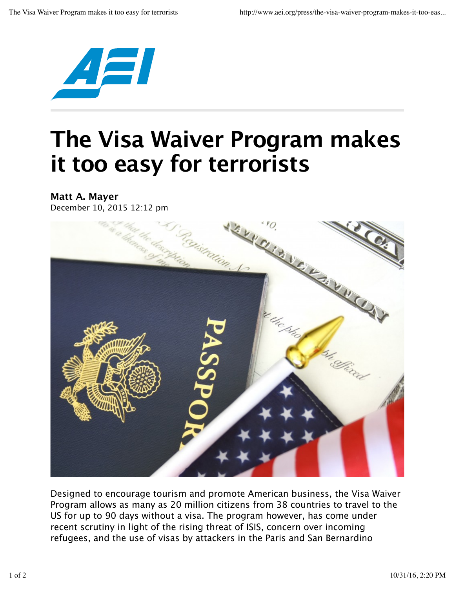

## **The Visa Waiver Program makes it too easy for terrorists**

**Matt A. Mayer** December 10, 2015 12:12 pm



Designed to encourage tourism and promote American business, the Visa Waiver Program allows as many as 20 million citizens from 38 countries to travel to the US for up to 90 days without a visa. The program however, has come under recent scrutiny in light of the rising threat of ISIS, concern over incoming refugees, and the use of visas by attackers in the Paris and San Bernardino